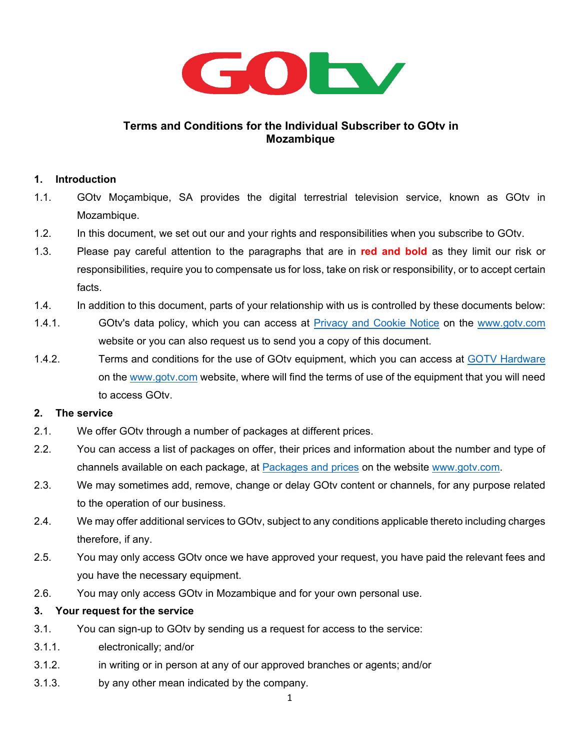

# **Terms and Conditions for the Individual Subscriber to GOtv in Mozambique**

## **1. Introduction**

- 1.1. GOtv Moçambique, SA provides the digital terrestrial television service, known as GOtv in Mozambique.
- 1.2. In this document, we set out our and your rights and responsibilities when you subscribe to GOtv.
- 1.3. Please pay careful attention to the paragraphs that are in **red and bold** as they limit our risk or responsibilities, require you to compensate us for loss, take on risk or responsibility, or to accept certain facts.
- 1.4. In addition to this document, parts of your relationship with us is controlled by these documents below:
- 1.4.1. GOtv's data policy, which you can access at [Privacy and Cookie Notice](https://www.multichoice.com/privacy-cookie-notice/) on the [www.gotv.com](http://www.gotv.com/) website or you can also request us to send you a copy of this document.
- 1.4.2. Terms and conditions for the use of GOtv equipment, which you can access at GOTV [Hardware](https://www.multichoice.com/dstv-tcs/hardware/) on the [www.gotv.com](http://www.gotv.com/) website, where will find the terms of use of the equipment that you will need to access GOtv.

### **2. The service**

- 2.1. We offer GOtv through a number of packages at different prices.
- 2.2. You can access a list of packages on offer, their prices and information about the number and type of channels available on each package, at [Packages and prices](https://www.dstvafrica.com/pt-mz) on the website [www.gotv.com.](http://www.gotv.com/)
- 2.3. We may sometimes add, remove, change or delay GOtv content or channels, for any purpose related to the operation of our business.
- 2.4. We may offer additional services to GOtv, subject to any conditions applicable thereto including charges therefore, if any.
- 2.5. You may only access GOtv once we have approved your request, you have paid the relevant fees and you have the necessary equipment.
- 2.6. You may only access GOtv in Mozambique and for your own personal use.

# **3. Your request for the service**

- 3.1. You can sign-up to GOtv by sending us a request for access to the service:
- 3.1.1. electronically; and/or
- 3.1.2. in writing or in person at any of our approved branches or agents; and/or
- 3.1.3. by any other mean indicated by the company.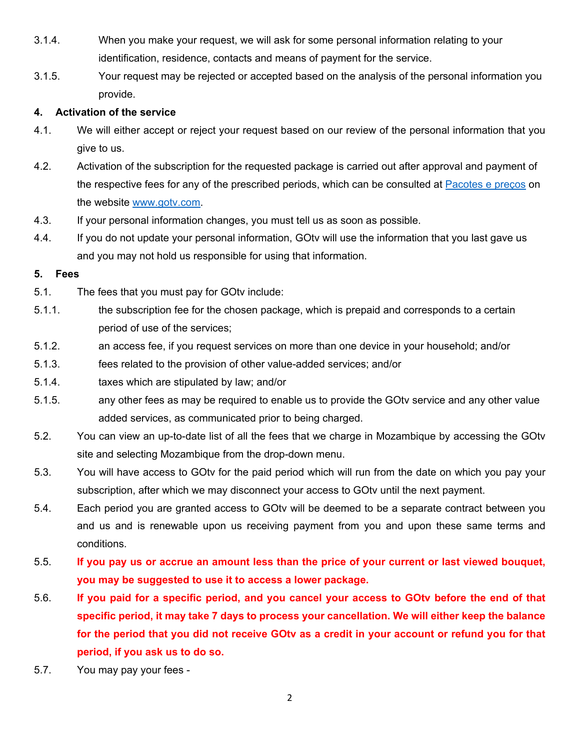- 3.1.4. When you make your request, we will ask for some personal information relating to your identification, residence, contacts and means of payment for the service.
- 3.1.5. Your request may be rejected or accepted based on the analysis of the personal information you provide.

### **4. Activation of the service**

- 4.1. We will either accept or reject your request based on our review of the personal information that you give to us.
- 4.2. Activation of the subscription for the requested package is carried out after approval and payment of the respective fees for any of the prescribed periods, which can be consulted at [Pacotes e preços](https://www.dstvafrica.com/pt-mz) on the website [www.gotv.com.](http://www.gotv.com/)
- 4.3. If your personal information changes, you must tell us as soon as possible.
- 4.4. If you do not update your personal information, GOtv will use the information that you last gave us and you may not hold us responsible for using that information.

## **5. Fees**

- 5.1. The fees that you must pay for GOtv include:
- 5.1.1. the subscription fee for the chosen package, which is prepaid and corresponds to a certain period of use of the services;
- 5.1.2. an access fee, if you request services on more than one device in your household; and/or
- 5.1.3. fees related to the provision of other value-added services; and/or
- 5.1.4. taxes which are stipulated by law; and/or
- 5.1.5. any other fees as may be required to enable us to provide the GOtv service and any other value added services, as communicated prior to being charged.
- 5.2. You can view an up-to-date list of all the fees that we charge in Mozambique by accessing the GOtv site and selecting Mozambique from the drop-down menu.
- 5.3. You will have access to GOtv for the paid period which will run from the date on which you pay your subscription, after which we may disconnect your access to GOtv until the next payment.
- 5.4. Each period you are granted access to GOtv will be deemed to be a separate contract between you and us and is renewable upon us receiving payment from you and upon these same terms and conditions.
- 5.5. **If you pay us or accrue an amount less than the price of your current or last viewed bouquet, you may be suggested to use it to access a lower package.**
- 5.6. **If you paid for a specific period, and you cancel your access to GOtv before the end of that specific period, it may take 7 days to process your cancellation. We will either keep the balance for the period that you did not receive GOtv as a credit in your account or refund you for that period, if you ask us to do so.**
- 5.7. You may pay your fees -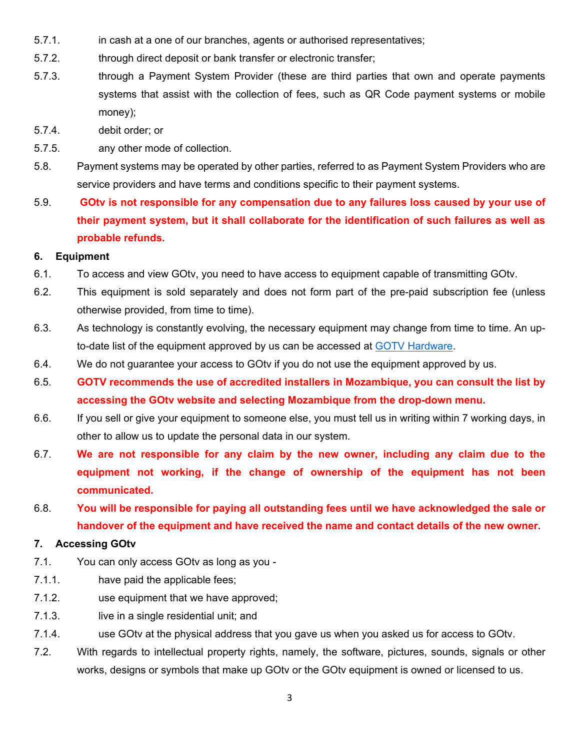- 5.7.1. in cash at a one of our branches, agents or authorised representatives;
- 5.7.2. through direct deposit or bank transfer or electronic transfer;
- 5.7.3. through a Payment System Provider (these are third parties that own and operate payments systems that assist with the collection of fees, such as QR Code payment systems or mobile money);
- 5.7.4. debit order; or
- 5.7.5. any other mode of collection.
- 5.8. Payment systems may be operated by other parties, referred to as Payment System Providers who are service providers and have terms and conditions specific to their payment systems.
- 5.9. **GOtv is not responsible for any compensation due to any failures loss caused by your use of their payment system, but it shall collaborate for the identification of such failures as well as probable refunds.**

### **6. Equipment**

- 6.1. To access and view GOtv, you need to have access to equipment capable of transmitting GOtv.
- 6.2. This equipment is sold separately and does not form part of the pre-paid subscription fee (unless otherwise provided, from time to time).
- 6.3. As technology is constantly evolving, the necessary equipment may change from time to time. An upto-date list of the equipment approved by us can be accessed at GOTV [Hardware.](https://www.multichoice.com/dstv-tcs/hardware/)
- 6.4. We do not guarantee your access to GOtv if you do not use the equipment approved by us.
- 6.5. **GOTV recommends the use of accredited installers in Mozambique, you can consult the list by accessing the GOtv website and selecting Mozambique from the drop-down menu.**
- 6.6. If you sell or give your equipment to someone else, you must tell us in writing within 7 working days, in other to allow us to update the personal data in our system.
- 6.7. **We are not responsible for any claim by the new owner, including any claim due to the equipment not working, if the change of ownership of the equipment has not been communicated.**
- 6.8. **You will be responsible for paying all outstanding fees until we have acknowledged the sale or handover of the equipment and have received the name and contact details of the new owner.**

#### **7. Accessing GOtv**

- 7.1. You can only access GOtv as long as you -
- 7.1.1. have paid the applicable fees;
- 7.1.2. use equipment that we have approved;
- 7.1.3. live in a single residential unit; and
- 7.1.4. use GOtv at the physical address that you gave us when you asked us for access to GOtv.
- 7.2. With regards to intellectual property rights, namely, the software, pictures, sounds, signals or other works, designs or symbols that make up GOtv or the GOtv equipment is owned or licensed to us.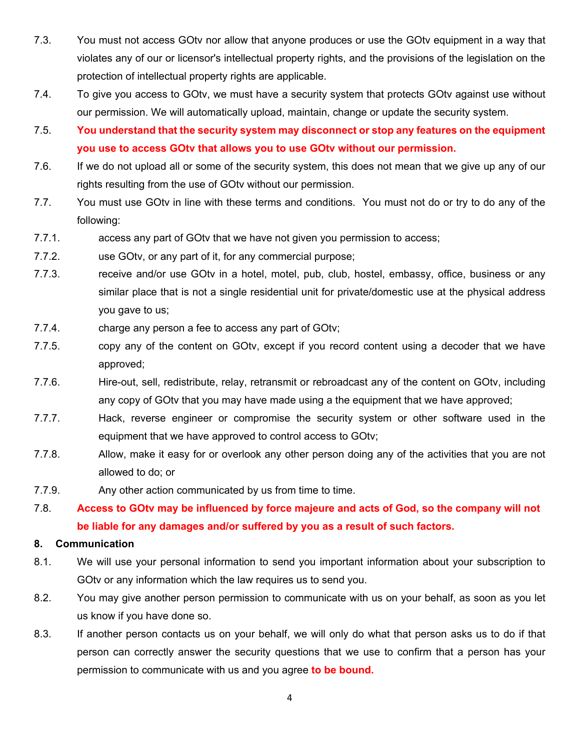- 7.3. You must not access GOtv nor allow that anyone produces or use the GOtv equipment in a way that violates any of our or licensor's intellectual property rights, and the provisions of the legislation on the protection of intellectual property rights are applicable.
- 7.4. To give you access to GOtv, we must have a security system that protects GOtv against use without our permission. We will automatically upload, maintain, change or update the security system.
- 7.5. **You understand that the security system may disconnect or stop any features on the equipment you use to access GOtv that allows you to use GOtv without our permission.**
- 7.6. If we do not upload all or some of the security system, this does not mean that we give up any of our rights resulting from the use of GOtv without our permission.
- 7.7. You must use GOtv in line with these terms and conditions. You must not do or try to do any of the following:
- 7.7.1. access any part of GOtv that we have not given you permission to access;
- 7.7.2. use GOtv, or any part of it, for any commercial purpose;
- 7.7.3. receive and/or use GOtv in a hotel, motel, pub, club, hostel, embassy, office, business or any similar place that is not a single residential unit for private/domestic use at the physical address you gave to us;
- 7.7.4. charge any person a fee to access any part of GOtv;
- 7.7.5. copy any of the content on GOtv, except if you record content using a decoder that we have approved;
- 7.7.6. Hire-out, sell, redistribute, relay, retransmit or rebroadcast any of the content on GOtv, including any copy of GOtv that you may have made using a the equipment that we have approved;
- 7.7.7. Hack, reverse engineer or compromise the security system or other software used in the equipment that we have approved to control access to GOtv;
- 7.7.8. Allow, make it easy for or overlook any other person doing any of the activities that you are not allowed to do; or
- 7.7.9. Any other action communicated by us from time to time.

7.8. **Access to GOtv may be influenced by force majeure and acts of God, so the company will not be liable for any damages and/or suffered by you as a result of such factors.**

#### **8. Communication**

- 8.1. We will use your personal information to send you important information about your subscription to GOtv or any information which the law requires us to send you.
- 8.2. You may give another person permission to communicate with us on your behalf, as soon as you let us know if you have done so.
- 8.3. If another person contacts us on your behalf, we will only do what that person asks us to do if that person can correctly answer the security questions that we use to confirm that a person has your permission to communicate with us and you agree **to be bound.**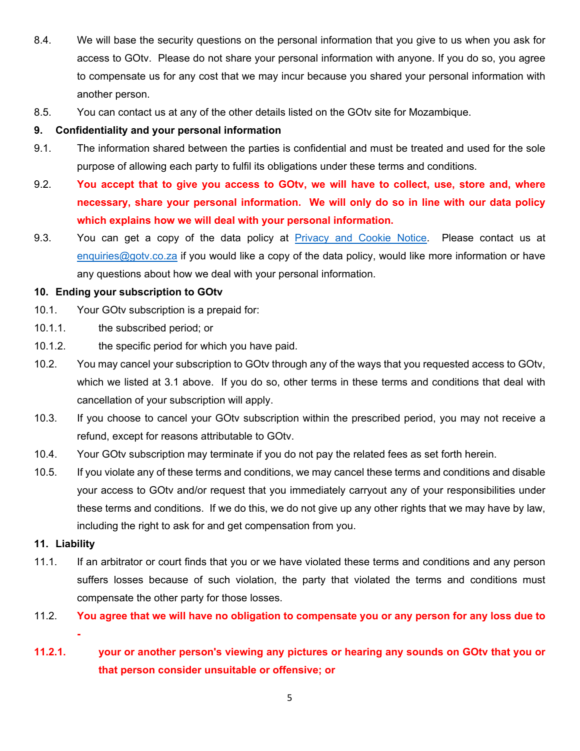- 8.4. We will base the security questions on the personal information that you give to us when you ask for access to GOtv. Please do not share your personal information with anyone. If you do so, you agree to compensate us for any cost that we may incur because you shared your personal information with another person.
- 8.5. You can contact us at any of the other details listed on the GOtv site for Mozambique.

# **9. Confidentiality and your personal information**

- 9.1. The information shared between the parties is confidential and must be treated and used for the sole purpose of allowing each party to fulfil its obligations under these terms and conditions.
- 9.2. **You accept that to give you access to GOtv, we will have to collect, use, store and, where necessary, share your personal information. We will only do so in line with our data policy which explains how we will deal with your personal information.**
- 9.3. You can get a copy of the data policy at [Privacy and Cookie Notice.](https://www.multichoice.com/privacy-cookie-notice/) Please contact us at [enquiries@gotv.co.za](mailto:enquiries@gotv.co.za) if you would like a copy of the data policy, would like more information or have any questions about how we deal with your personal information.

## **10. Ending your subscription to GOtv**

- 10.1. Your GOtv subscription is a prepaid for:
- 10.1.1. the subscribed period; or
- 10.1.2. the specific period for which you have paid.
- 10.2. You may cancel your subscription to GOtv through any of the ways that you requested access to GOtv, which we listed at 3.1 above. If you do so, other terms in these terms and conditions that deal with cancellation of your subscription will apply.
- 10.3. If you choose to cancel your GOtv subscription within the prescribed period, you may not receive a refund, except for reasons attributable to GOtv.
- 10.4. Your GOtv subscription may terminate if you do not pay the related fees as set forth herein.
- 10.5. If you violate any of these terms and conditions, we may cancel these terms and conditions and disable your access to GOtv and/or request that you immediately carryout any of your responsibilities under these terms and conditions. If we do this, we do not give up any other rights that we may have by law, including the right to ask for and get compensation from you.

### **11. Liability**

**-**

- 11.1. If an arbitrator or court finds that you or we have violated these terms and conditions and any person suffers losses because of such violation, the party that violated the terms and conditions must compensate the other party for those losses.
- 11.2. **You agree that we will have no obligation to compensate you or any person for any loss due to**
- **11.2.1. your or another person's viewing any pictures or hearing any sounds on GOtv that you or that person consider unsuitable or offensive; or**